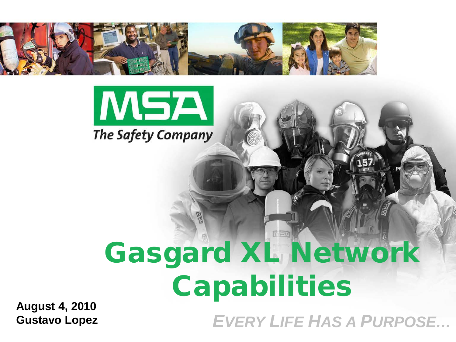



# Gasgard XL Network Capabilities

**August 4, 2010 Gustavo Lopez**

*EVERY LIFE HAS A PURPOSE…*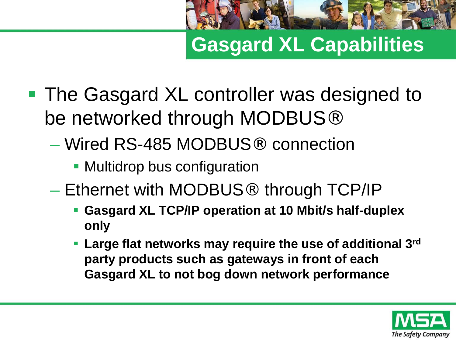

**Gasgard XL Capabilities**

- The Gasgard XL controller was designed to be networked through MODBUS<sup>®</sup>
	- Wired RS-485 MODBUS® connection
		- **Multidrop bus configuration**
	- Ethernet with MODBUS® through TCP/IP
		- **Gasgard XL TCP/IP operation at 10 Mbit/s half-duplex only**
		- **Large flat networks may require the use of additional 3rd party products such as gateways in front of each Gasgard XL to not bog down network performance**

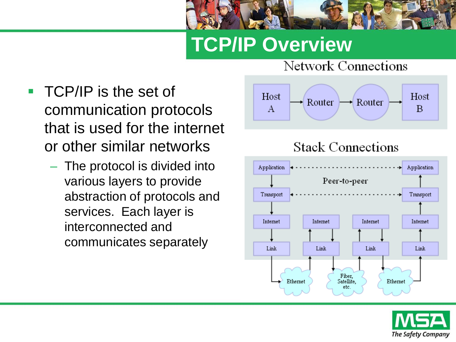

# **TCP/IP Overview**



– The protocol is divided into various layers to provide abstraction of protocols and services. Each layer is interconnected and communicates separately



Network Connections





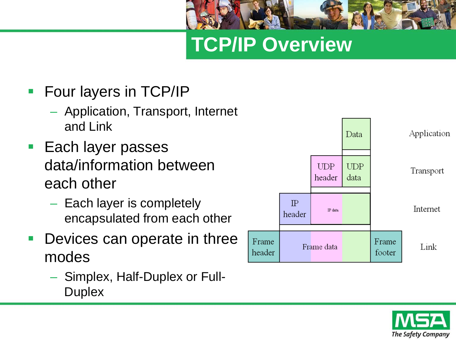## **TCP/IP Overview**

- **Four layers in TCP/IP** 
	- Application, Transport, Internet and Link
- **Each layer passes** data/information between each other
	- Each layer is completely encapsulated from each other
- Devices can operate in three modes
	- Simplex, Half-Duplex or Full-**Duplex**



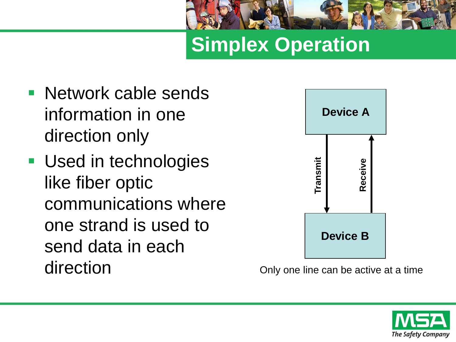

**Simplex Operation**

- **Network cable sends** information in one direction only
- **Used in technologies** like fiber optic communications where one strand is used to send data in each direction



Only one line can be active at a time

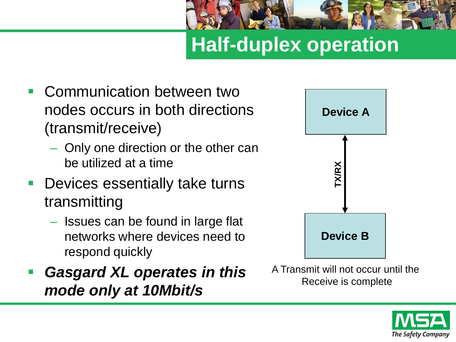

# **Half-duplex operation**

- Communication between two nodes occurs in both directions (transmit/receive)
	- Only one direction or the other can be utilized at a time
- **Devices essentially take turns** transmitting
	- Issues can be found in large flat networks where devices need to respond quickly
- *Gasgard XL operates in this mode only at 10Mbit/s*



A Transmit will not occur until the Receive is complete

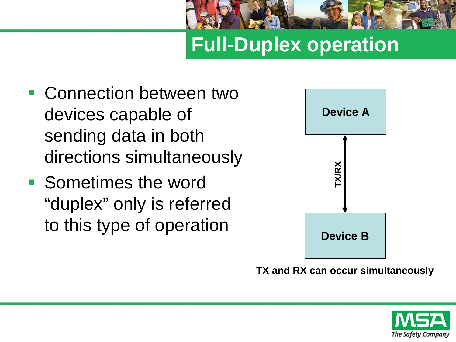

## **Full-Duplex operation**

- Connection between two devices capable of sending data in both directions simultaneously
- Sometimes the word "duplex" only is referred to this type of operation



**TX and RX can occur simultaneously**

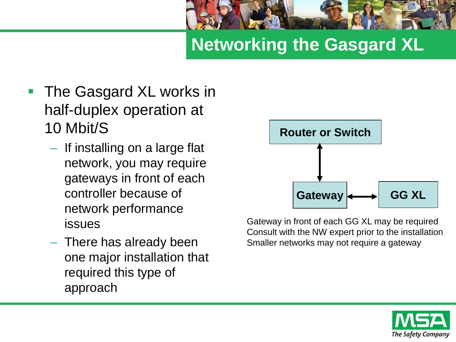

#### **Networking the Gasgard XL**

- The Gasgard XL works in half-duplex operation at 10 Mbit/S
	- If installing on a large flat network, you may require gateways in front of each controller because of network performance issues
	- There has already been one major installation that required this type of approach



Gateway in front of each GG XL may be required Consult with the NW expert prior to the installation Smaller networks may not require a gateway

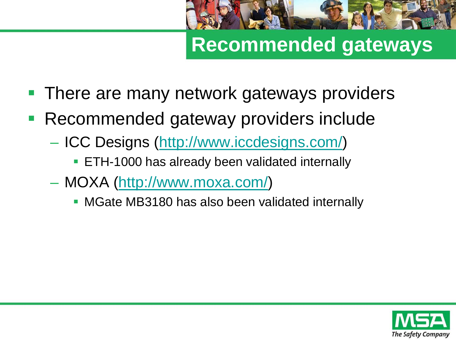

#### **Recommended gateways**

- There are many network gateways providers
- Recommended gateway providers include
	- ICC Designs [\(http://www.iccdesigns.com/\)](http://www.iccdesigns.com/)
		- **ETH-1000 has already been validated internally**
	- MOXA [\(http://www.moxa.com/](http://www.moxa.com/))
		- **MGate MB3180 has also been validated internally**